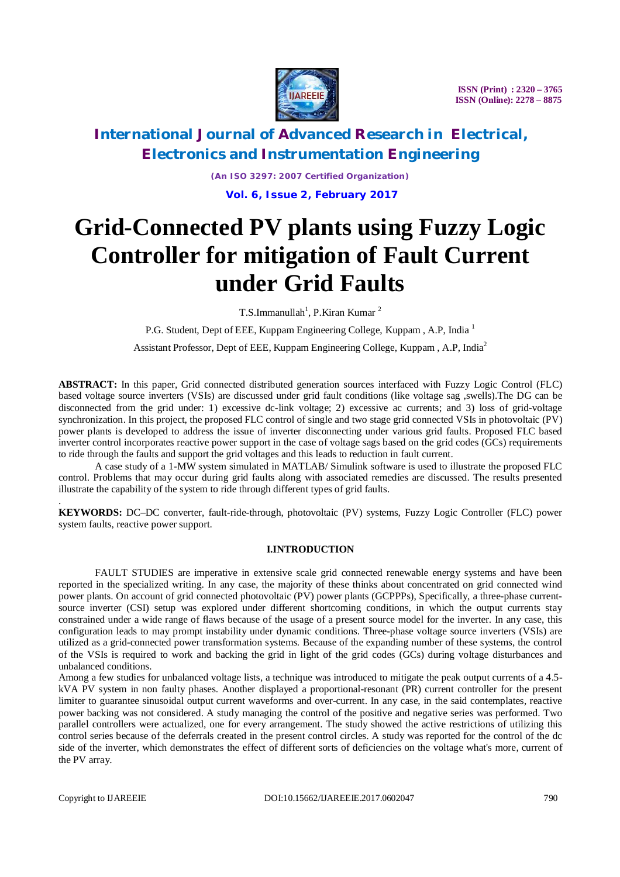

# **International Journal of Advanced Research in Electrical, Electronics and Instrumentation Engineering**

*(An ISO 3297: 2007 Certified Organization)* **Vol. 6, Issue 2, February 2017**

# **Grid-Connected PV plants using Fuzzy Logic Controller for mitigation of Fault Current under Grid Faults**

T.S.Immanullah<sup>1</sup>, P.Kiran Kumar<sup>2</sup>

P.G. Student, Dept of EEE, Kuppam Engineering College, Kuppam, A.P. India <sup>1</sup>

Assistant Professor, Dept of EEE, Kuppam Engineering College, Kuppam , A.P, India<sup>2</sup>

**ABSTRACT:** In this paper, Grid connected distributed generation sources interfaced with Fuzzy Logic Control (FLC) based voltage source inverters (VSIs) are discussed under grid fault conditions (like voltage sag ,swells).The DG can be disconnected from the grid under: 1) excessive dc-link voltage; 2) excessive ac currents; and 3) loss of grid-voltage synchronization. In this project, the proposed FLC control of single and two stage grid connected VSIs in photovoltaic (PV) power plants is developed to address the issue of inverter disconnecting under various grid faults. Proposed FLC based inverter control incorporates reactive power support in the case of voltage sags based on the grid codes (GCs) requirements to ride through the faults and support the grid voltages and this leads to reduction in fault current.

A case study of a 1-MW system simulated in MATLAB/ Simulink software is used to illustrate the proposed FLC control. Problems that may occur during grid faults along with associated remedies are discussed. The results presented illustrate the capability of the system to ride through different types of grid faults.

**KEYWORDS:** DC–DC converter, fault-ride-through, photovoltaic (PV) systems, Fuzzy Logic Controller (FLC) power system faults, reactive power support.

#### **I.INTRODUCTION**

FAULT STUDIES are imperative in extensive scale grid connected renewable energy systems and have been reported in the specialized writing. In any case, the majority of these thinks about concentrated on grid connected wind power plants. On account of grid connected photovoltaic (PV) power plants (GCPPPs), Specifically, a three-phase currentsource inverter (CSI) setup was explored under different shortcoming conditions, in which the output currents stay constrained under a wide range of flaws because of the usage of a present source model for the inverter. In any case, this configuration leads to may prompt instability under dynamic conditions. Three-phase voltage source inverters (VSIs) are utilized as a grid-connected power transformation systems. Because of the expanding number of these systems, the control of the VSIs is required to work and backing the grid in light of the grid codes (GCs) during voltage disturbances and unbalanced conditions.

Among a few studies for unbalanced voltage lists, a technique was introduced to mitigate the peak output currents of a 4.5 kVA PV system in non faulty phases. Another displayed a proportional-resonant (PR) current controller for the present limiter to guarantee sinusoidal output current waveforms and over-current. In any case, in the said contemplates, reactive power backing was not considered. A study managing the control of the positive and negative series was performed. Two parallel controllers were actualized, one for every arrangement. The study showed the active restrictions of utilizing this control series because of the deferrals created in the present control circles. A study was reported for the control of the dc side of the inverter, which demonstrates the effect of different sorts of deficiencies on the voltage what's more, current of the PV array.

.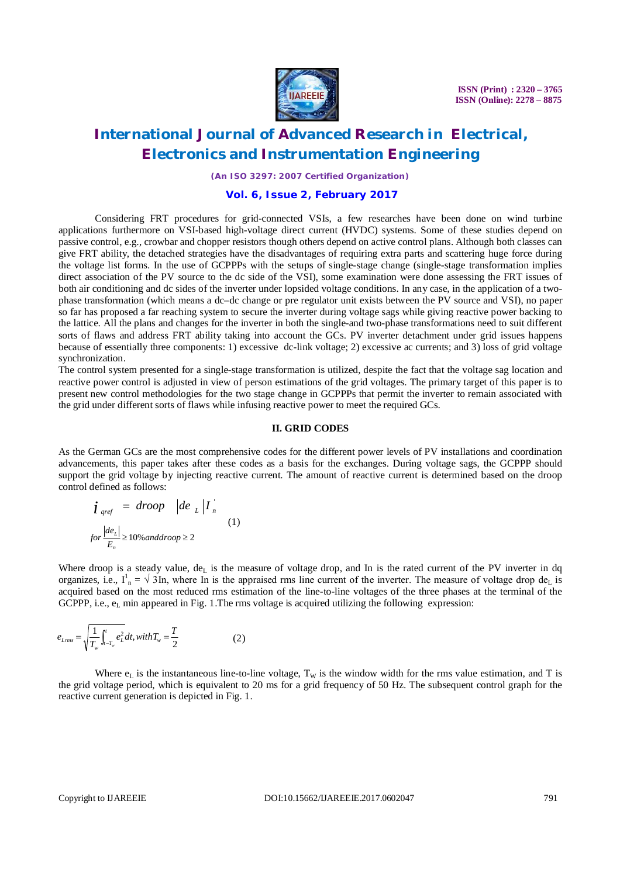

### **International Journal of Advanced Research in Electrical, Electronics and Instrumentation Engineering**

*(An ISO 3297: 2007 Certified Organization)*

### **Vol. 6, Issue 2, February 2017**

Considering FRT procedures for grid-connected VSIs, a few researches have been done on wind turbine applications furthermore on VSI-based high-voltage direct current (HVDC) systems. Some of these studies depend on passive control, e.g., crowbar and chopper resistors though others depend on active control plans. Although both classes can give FRT ability, the detached strategies have the disadvantages of requiring extra parts and scattering huge force during the voltage list forms. In the use of GCPPPs with the setups of single-stage change (single-stage transformation implies direct association of the PV source to the dc side of the VSI), some examination were done assessing the FRT issues of both air conditioning and dc sides of the inverter under lopsided voltage conditions. In any case, in the application of a twophase transformation (which means a dc–dc change or pre regulator unit exists between the PV source and VSI), no paper so far has proposed a far reaching system to secure the inverter during voltage sags while giving reactive power backing to the lattice. All the plans and changes for the inverter in both the single-and two-phase transformations need to suit different sorts of flaws and address FRT ability taking into account the GCs. PV inverter detachment under grid issues happens because of essentially three components: 1) excessive dc-link voltage; 2) excessive ac currents; and 3) loss of grid voltage synchronization.

The control system presented for a single-stage transformation is utilized, despite the fact that the voltage sag location and reactive power control is adjusted in view of person estimations of the grid voltages. The primary target of this paper is to present new control methodologies for the two stage change in GCPPPs that permit the inverter to remain associated with the grid under different sorts of flaws while infusing reactive power to meet the required GCs.

### **II. GRID CODES**

As the German GCs are the most comprehensive codes for the different power levels of PV installations and coordination advancements, this paper takes after these codes as a basis for the exchanges. During voltage sags, the GCPPP should support the grid voltage by injecting reactive current. The amount of reactive current is determined based on the droop control defined as follows:

$$
\begin{aligned}\n\boldsymbol{i}_{\text{~pref}} &= \text{~drop} \quad \left| \text{d}\boldsymbol{e}_{\text{~L}} \right| \boldsymbol{I}_{\text{~n}} \\
\text{for } \frac{\left| \text{d}\boldsymbol{e}_{\text{L}} \right|}{E_{\text{m}}} \ge 10\% \text{ and } \text{drop} \ge 2\n\end{aligned} \tag{1}
$$

Where droop is a steady value, de<sub>L</sub> is the measure of voltage drop, and In is the rated current of the PV inverter in dq organizes, i.e.,  $I_n^1 = \sqrt{3}$ In, where In is the appraised rms line current of the inverter. The measure of voltage drop de<sub>L</sub> is acquired based on the most reduced rms estimation of the line-to-line voltages of the three phases at the terminal of the GCPPP, i.e.,  $e<sub>L</sub>$  min appeared in Fig. 1. The rms voltage is acquired utilizing the following expression:

$$
e_{Lrm} = \sqrt{\frac{1}{T_w} \int_{t-T_w}^{t} e_L^2} dt, with T_w = \frac{T}{2}
$$
 (2)

Where  $e_L$  is the instantaneous line-to-line voltage,  $T_W$  is the window width for the rms value estimation, and T is the grid voltage period, which is equivalent to 20 ms for a grid frequency of 50 Hz. The subsequent control graph for the reactive current generation is depicted in Fig. 1.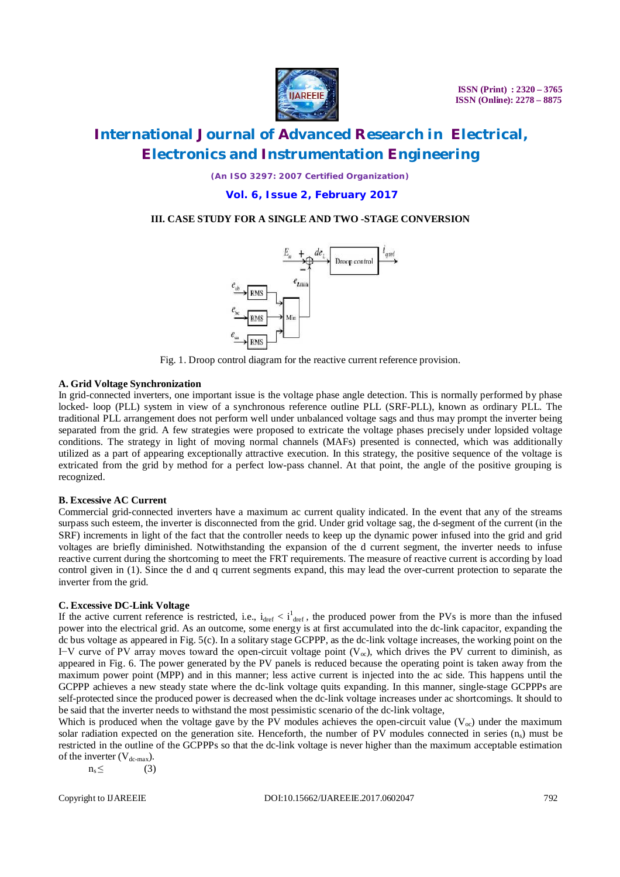

*(An ISO 3297: 2007 Certified Organization)*

**Vol. 6, Issue 2, February 2017**

### **III. CASE STUDY FOR A SINGLE AND TWO -STAGE CONVERSION**



Fig. 1. Droop control diagram for the reactive current reference provision.

### **A. Grid Voltage Synchronization**

In grid-connected inverters, one important issue is the voltage phase angle detection. This is normally performed by phase locked- loop (PLL) system in view of a synchronous reference outline PLL (SRF-PLL), known as ordinary PLL. The traditional PLL arrangement does not perform well under unbalanced voltage sags and thus may prompt the inverter being separated from the grid. A few strategies were proposed to extricate the voltage phases precisely under lopsided voltage conditions. The strategy in light of moving normal channels (MAFs) presented is connected, which was additionally utilized as a part of appearing exceptionally attractive execution. In this strategy, the positive sequence of the voltage is extricated from the grid by method for a perfect low-pass channel. At that point, the angle of the positive grouping is recognized.

#### **B. Excessive AC Current**

Commercial grid-connected inverters have a maximum ac current quality indicated. In the event that any of the streams surpass such esteem, the inverter is disconnected from the grid. Under grid voltage sag, the d-segment of the current (in the SRF) increments in light of the fact that the controller needs to keep up the dynamic power infused into the grid and grid voltages are briefly diminished. Notwithstanding the expansion of the d current segment, the inverter needs to infuse reactive current during the shortcoming to meet the FRT requirements. The measure of reactive current is according by load control given in (1). Since the d and q current segments expand, this may lead the over-current protection to separate the inverter from the grid.

#### **C. Excessive DC-Link Voltage**

If the active current reference is restricted, i.e.,  $i_{\text{def}} < i_{\text{def}}^1$ , the produced power from the PVs is more than the infused power into the electrical grid. As an outcome, some energy is at first accumulated into the dc-link capacitor, expanding the dc bus voltage as appeared in Fig. 5(c). In a solitary stage GCPPP, as the dc-link voltage increases, the working point on the I–V curve of PV array moves toward the open-circuit voltage point ( $V_\infty$ ), which drives the PV current to diminish, as appeared in Fig. 6. The power generated by the PV panels is reduced because the operating point is taken away from the maximum power point (MPP) and in this manner; less active current is injected into the ac side. This happens until the GCPPP achieves a new steady state where the dc-link voltage quits expanding. In this manner, single-stage GCPPPs are self-protected since the produced power is decreased when the dc-link voltage increases under ac shortcomings. It should to be said that the inverter needs to withstand the most pessimistic scenario of the dc-link voltage,

Which is produced when the voltage gave by the PV modules achieves the open-circuit value ( $V_{\text{oc}}$ ) under the maximum solar radiation expected on the generation site. Henceforth, the number of PV modules connected in series  $(n<sub>s</sub>)$  must be restricted in the outline of the GCPPPs so that the dc-link voltage is never higher than the maximum acceptable estimation of the inverter  $(V_{dc-max})$ .

 $n_s \leq$  (3)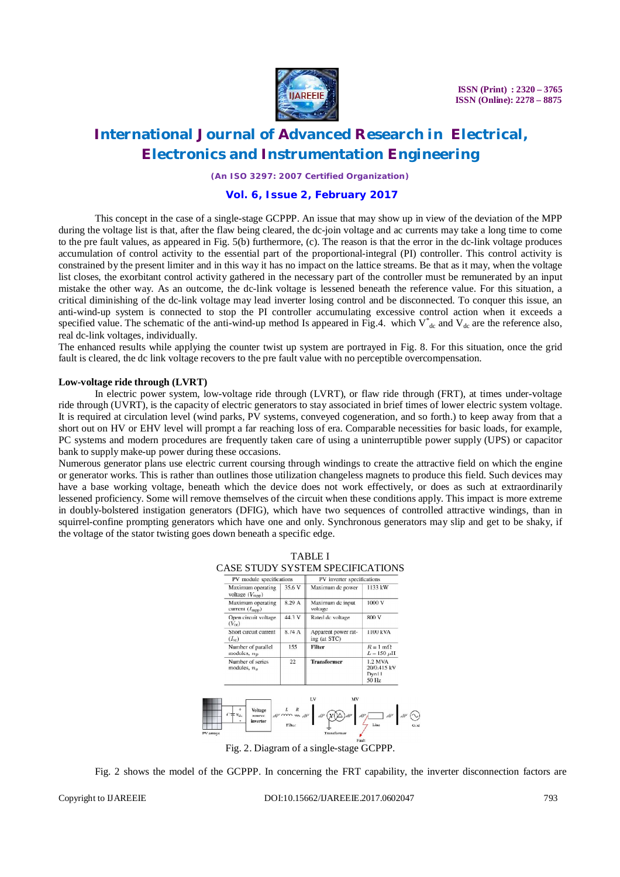

# **International Journal of Advanced Research in Electrical, Electronics and Instrumentation Engineering**

*(An ISO 3297: 2007 Certified Organization)*

### **Vol. 6, Issue 2, February 2017**

This concept in the case of a single-stage GCPPP. An issue that may show up in view of the deviation of the MPP during the voltage list is that, after the flaw being cleared, the dc-join voltage and ac currents may take a long time to come to the pre fault values, as appeared in Fig. 5(b) furthermore, (c). The reason is that the error in the dc-link voltage produces accumulation of control activity to the essential part of the proportional-integral (PI) controller. This control activity is constrained by the present limiter and in this way it has no impact on the lattice streams. Be that as it may, when the voltage list closes, the exorbitant control activity gathered in the necessary part of the controller must be remunerated by an input mistake the other way. As an outcome, the dc-link voltage is lessened beneath the reference value. For this situation, a critical diminishing of the dc-link voltage may lead inverter losing control and be disconnected. To conquer this issue, an anti-wind-up system is connected to stop the PI controller accumulating excessive control action when it exceeds a specified value. The schematic of the anti-wind-up method Is appeared in Fig.4. which  $V_{dc}^*$  and  $V_{dc}$  are the reference also, real dc-link voltages, individually.

The enhanced results while applying the counter twist up system are portrayed in Fig. 8. For this situation, once the grid fault is cleared, the dc link voltage recovers to the pre fault value with no perceptible overcompensation.

#### **Low-voltage ride through (LVRT)**

In electric power system, low-voltage ride through (LVRT), or flaw ride through (FRT), at times under-voltage ride through (UVRT), is the capacity of electric generators to stay associated in brief times of lower electric system voltage. It is required at circulation level (wind parks, PV systems, conveyed cogeneration, and so forth.) to keep away from that a short out on HV or EHV level will prompt a far reaching loss of era. Comparable necessities for basic loads, for example, PC systems and modern procedures are frequently taken care of using a uninterruptible power supply (UPS) or capacitor bank to supply make-up power during these occasions.

Numerous generator plans use electric current coursing through windings to create the attractive field on which the engine or generator works. This is rather than outlines those utilization changeless magnets to produce this field. Such devices may have a base working voltage, beneath which the device does not work effectively, or does as such at extraordinarily lessened proficiency. Some will remove themselves of the circuit when these conditions apply. This impact is more extreme in doubly-bolstered instigation generators (DFIG), which have two sequences of controlled attractive windings, than in squirrel-confine prompting generators which have one and only. Synchronous generators may slip and get to be shaky, if the voltage of the stator twisting goes down beneath a specific edge.

TABLE I



Fig. 2. Diagram of a single-stage GCPPP.

Fig. 2 shows the model of the GCPPP. In concerning the FRT capability, the inverter disconnection factors are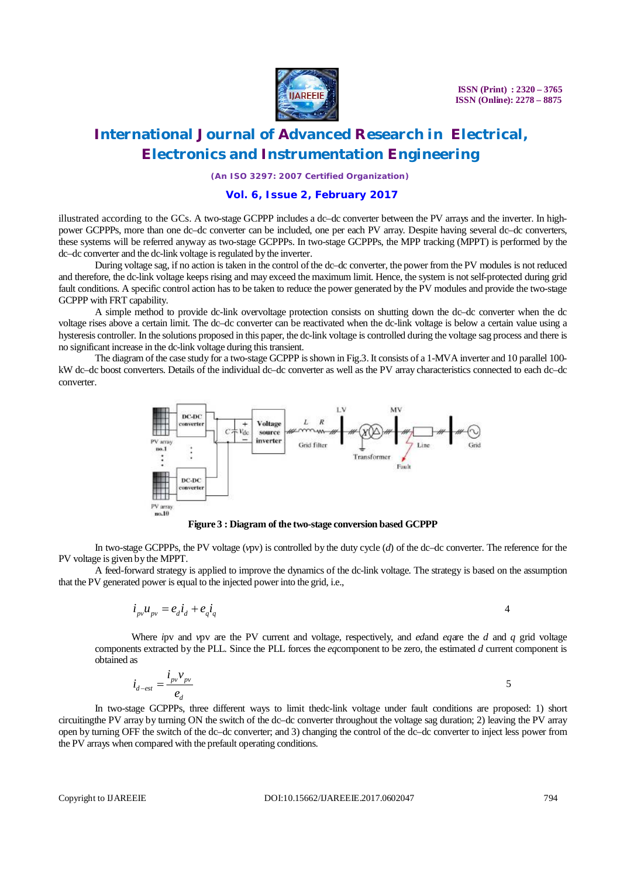

# **International Journal of Advanced Research in Electrical, Electronics and Instrumentation Engineering**

*(An ISO 3297: 2007 Certified Organization)*

### **Vol. 6, Issue 2, February 2017**

illustrated according to the GCs. A two-stage GCPPP includes a dc–dc converter between the PV arrays and the inverter. In highpower GCPPPs, more than one dc–dc converter can be included, one per each PV array. Despite having several dc–dc converters, these systems will be referred anyway as two-stage GCPPPs. In two-stage GCPPPs, the MPP tracking (MPPT) is performed by the dc–dc converter and the dc-link voltage is regulated by the inverter.

During voltage sag, if no action is taken in the control of the dc–dc converter, the power from the PV modules is not reduced and therefore, the dc-link voltage keeps rising and may exceed the maximum limit. Hence, the system is not self-protected during grid fault conditions. A specific control action has to be taken to reduce the power generated by the PV modules and provide the two-stage GCPPP with FRT capability.

A simple method to provide dc-link overvoltage protection consists on shutting down the dc–dc converter when the dc voltage rises above a certain limit. The dc–dc converter can be reactivated when the dc-link voltage is below a certain value using a hysteresis controller. In the solutions proposed in this paper, the dc-link voltage is controlled during the voltage sag process and there is no significant increase in the dc-link voltage during this transient.

The diagram of the case study for a two-stage GCPPP is shown in Fig.3. It consists of a 1-MVA inverter and 10 parallel 100 kW dc–dc boost converters. Details of the individual dc–dc converter as well as the PV array characteristics connected to each dc–dc converter.



**Figure 3 : Diagram of the two-stage conversion based GCPPP**

In two-stage GCPPPs, the PV voltage (*vpv*) is controlled by the duty cycle (*d*) of the dc–dc converter. The reference for the PV voltage is given by the MPPT.

A feed-forward strategy is applied to improve the dynamics of the dc-link voltage. The strategy is based on the assumption that the PV generated power is equal to the injected power into the grid, i.e.,

$$
i_{\scriptscriptstyle{pv}} u_{\scriptscriptstyle{pv}} = e_d i_d + e_q i_q \tag{4}
$$

Where *i*pv and *v*pv are the PV current and voltage, respectively, and *ed*and *eq*are the *d* and *q* grid voltage components extracted by the PLL. Since the PLL forces the *eq*component to be zero, the estimated *d* current component is obtained as

$$
\dot{i}_{d-est} = \frac{\dot{i}_{pv}v_{pv}}{e_d} \tag{5}
$$

In two-stage GCPPPs, three different ways to limit thedc-link voltage under fault conditions are proposed: 1) short circuitingthe PV array by turning ON the switch of the dc–dc converter throughout the voltage sag duration; 2) leaving the PV array open by turning OFF the switch of the dc–dc converter; and 3) changing the control of the dc–dc converter to inject less power from the PV arrays when compared with the prefault operating conditions.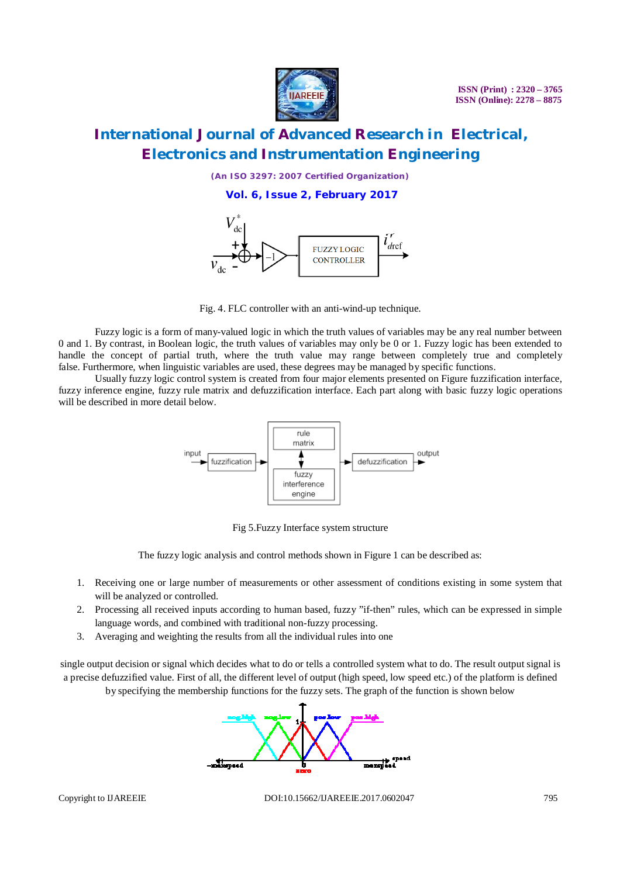

*(An ISO 3297: 2007 Certified Organization)*

**Vol. 6, Issue 2, February 2017**



Fig. 4. FLC controller with an anti-wind-up technique.

Fuzzy logic is a form of many-valued logic in which the truth values of variables may be any real number between 0 and 1. By contrast, in Boolean logic, the truth values of variables may only be 0 or 1. Fuzzy logic has been extended to handle the concept of partial truth, where the truth value may range between completely true and completely false. Furthermore, when linguistic variables are used, these degrees may be managed by specific functions.

Usually fuzzy logic control system is created from four major elements presented on Figure fuzzification interface, fuzzy inference engine, fuzzy rule matrix and defuzzification interface. Each part along with basic fuzzy logic operations will be described in more detail below.



Fig 5.Fuzzy Interface system structure

The fuzzy logic analysis and control methods shown in Figure 1 can be described as:

- 1. Receiving one or large number of measurements or other assessment of conditions existing in some system that will be analyzed or controlled.
- 2. Processing all received inputs according to human based, fuzzy "if-then" rules, which can be expressed in simple language words, and combined with traditional non-fuzzy processing.
- 3. Averaging and weighting the results from all the individual rules into one

single output decision or signal which decides what to do or tells a controlled system what to do. The result output signal is a precise defuzzified value. First of all, the different level of output (high speed, low speed etc.) of the platform is defined

by specifying the membership functions for the fuzzy sets. The graph of the function is shown below

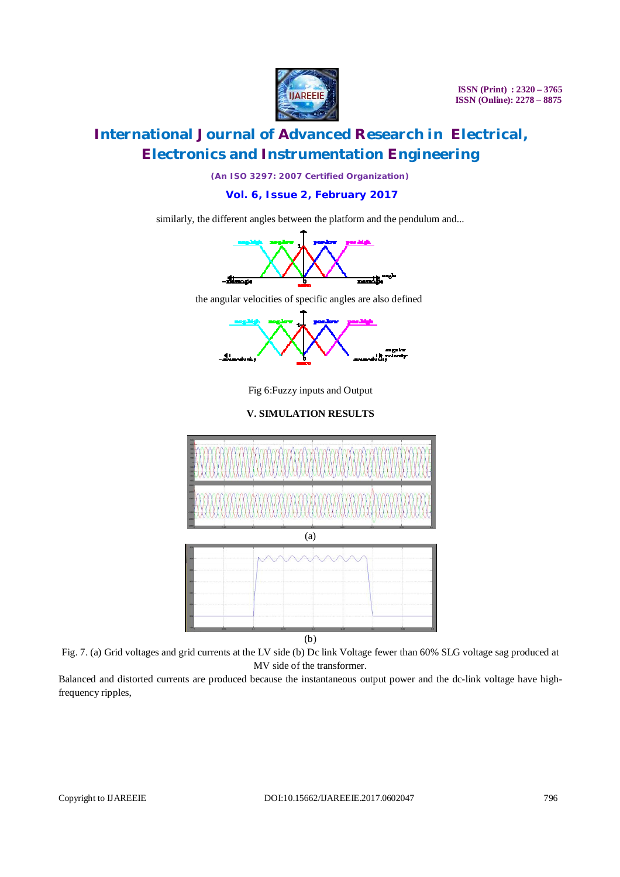

# **International Journal of Advanced Research in Electrical, Electronics and Instrumentation Engineering**

*(An ISO 3297: 2007 Certified Organization)*

**Vol. 6, Issue 2, February 2017**

similarly, the different angles between the platform and the pendulum and...





Fig 6:Fuzzy inputs and Output

### **V. SIMULATION RESULTS**



Fig. 7. (a) Grid voltages and grid currents at the LV side (b) Dc link Voltage fewer than 60% SLG voltage sag produced at MV side of the transformer.

Balanced and distorted currents are produced because the instantaneous output power and the dc-link voltage have highfrequency ripples,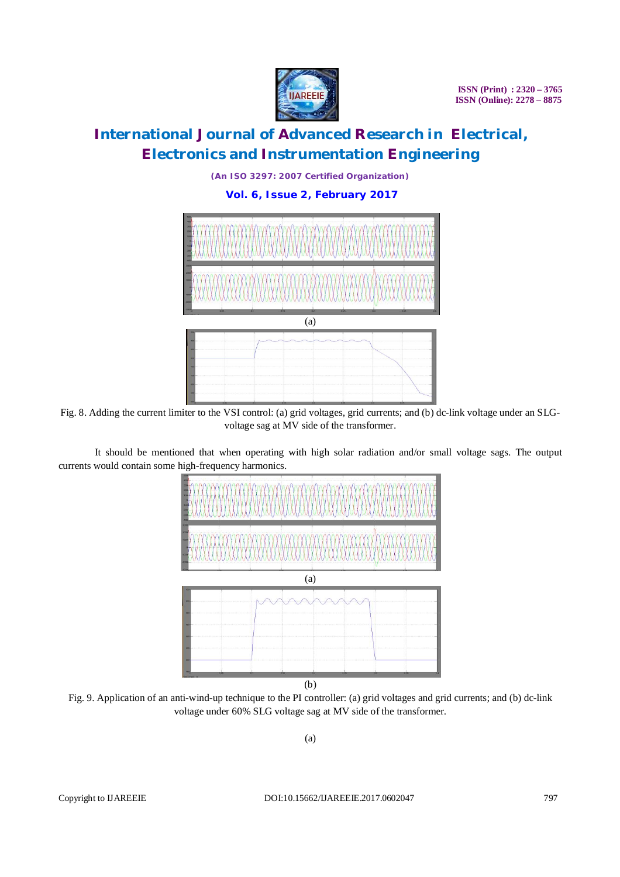

*(An ISO 3297: 2007 Certified Organization)*

**Vol. 6, Issue 2, February 2017**



Fig. 8. Adding the current limiter to the VSI control: (a) grid voltages, grid currents; and (b) dc-link voltage under an SLGvoltage sag at MV side of the transformer.

It should be mentioned that when operating with high solar radiation and/or small voltage sags. The output currents would contain some high-frequency harmonics.



Fig. 9. Application of an anti-wind-up technique to the PI controller: (a) grid voltages and grid currents; and (b) dc-link voltage under 60% SLG voltage sag at MV side of the transformer.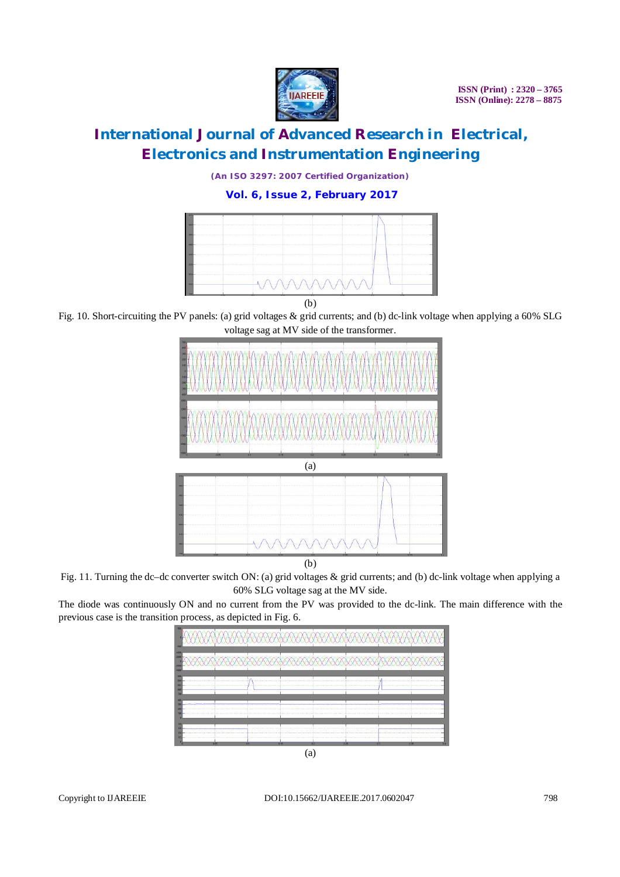

*(An ISO 3297: 2007 Certified Organization)*

**Vol. 6, Issue 2, February 2017**



(b)

Fig. 10. Short-circuiting the PV panels: (a) grid voltages & grid currents; and (b) dc-link voltage when applying a 60% SLG



Fig. 11. Turning the dc–dc converter switch ON: (a) grid voltages & grid currents; and (b) dc-link voltage when applying a 60% SLG voltage sag at the MV side.

The diode was continuously ON and no current from the PV was provided to the dc-link. The main difference with the previous case is the transition process, as depicted in Fig. 6.

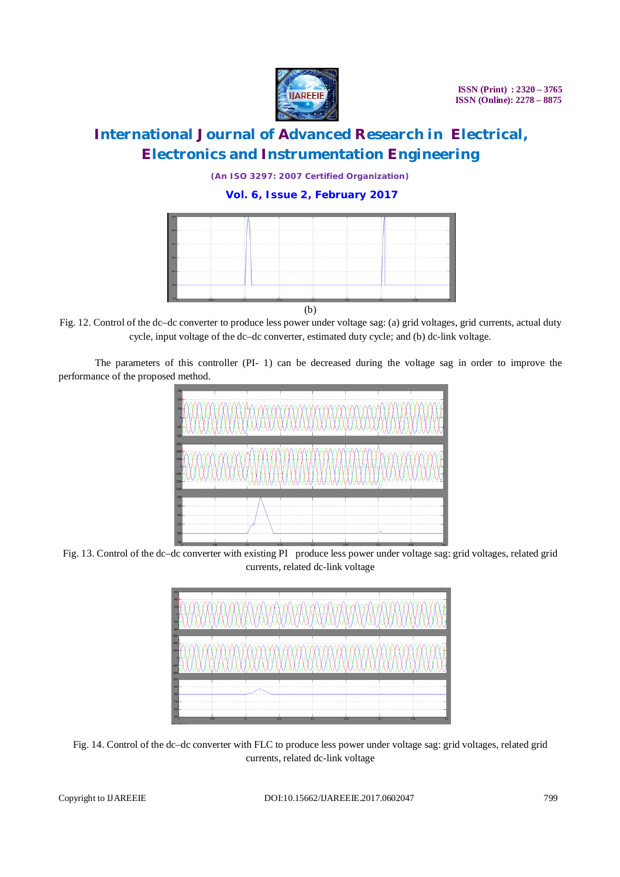

*(An ISO 3297: 2007 Certified Organization)*

### **Vol. 6, Issue 2, February 2017**



Fig. 12. Control of the dc–dc converter to produce less power under voltage sag: (a) grid voltages, grid currents, actual duty cycle, input voltage of the dc–dc converter, estimated duty cycle; and (b) dc-link voltage.

The parameters of this controller (PI- 1) can be decreased during the voltage sag in order to improve the performance of the proposed method.



Fig. 13. Control of the dc–dc converter with existing PI produce less power under voltage sag: grid voltages, related grid currents, related dc-link voltage



Fig. 14. Control of the dc–dc converter with FLC to produce less power under voltage sag: grid voltages, related grid currents, related dc-link voltage